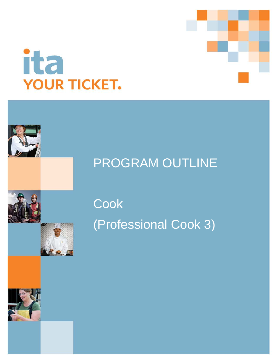



# PROGRAM OUTLINE

**Cook** (Professional Cook 3)

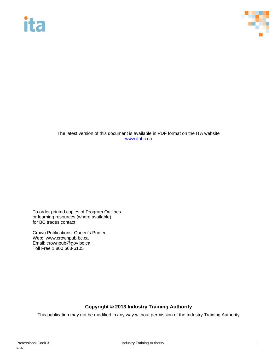# ita



The latest version of this document is available in PDF format on the ITA website [www.itabc.ca](http://www.itabc.ca/)

To order printed copies of Program Outlines or learning resources (where available) for BC trades contact:

Crown Publications, Queen's Printer Web: www.crownpub.bc.ca Email: crownpub@gov.bc.ca Toll Free 1 800 663-6105

### **Copyright © 2013 Industry Training Authority**

This publication may not be modified in any way without permission of the Industry Training Authority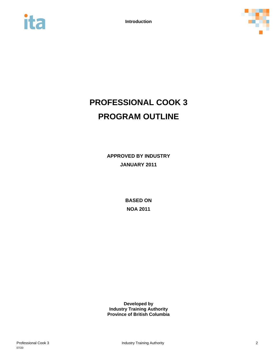



# **PROFESSIONAL COOK 3 PROGRAM OUTLINE**

**APPROVED BY INDUSTRY JANUARY 2011**

> **BASED ON NOA 2011**

**Developed by Industry Training Authority Province of British Columbia**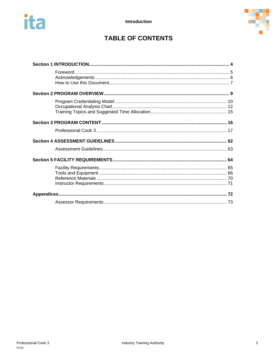



## **TABLE OF CONTENTS**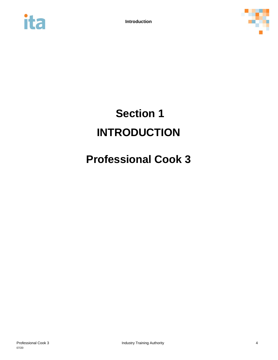



# <span id="page-4-0"></span>**Section 1 INTRODUCTION**

# **Professional Cook 3**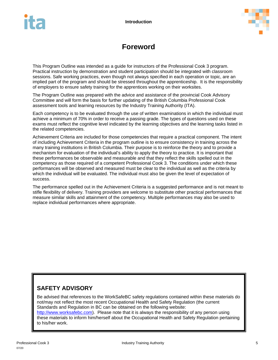

## **Foreword**

<span id="page-5-0"></span>This Program Outline was intended as a guide for instructors of the Professional Cook 3 program. Practical instruction by demonstration and student participation should be integrated with classroom sessions. Safe working practices, even though not always specified in each operation or topic, are an implied part of the program and should be stressed throughout the apprenticeship. It is the responsibility of employers to ensure safety training for the apprentices working on their worksites.

The Program Outline was prepared with the advice and assistance of the provincial Cook Advisory Committee and will form the basis for further updating of the British Columbia Professional Cook assessment tools and learning resources by the Industry Training Authority (ITA).

Each competency is to be evaluated through the use of written examinations in which the individual must achieve a minimum of 70% in order to receive a passing grade. The types of questions used on these exams must reflect the cognitive level indicated by the learning objectives and the learning tasks listed in the related competencies.

Achievement Criteria are included for those competencies that require a practical component. The intent of including Achievement Criteria in the program outline is to ensure consistency in training across the many training institutions in British Columbia. Their purpose is to reinforce the theory and to provide a mechanism for evaluation of the individual's ability to apply the theory to practice. It is important that these performances be observable and measurable and that they reflect the skills spelled out in the competency as those required of a competent Professional Cook 3. The conditions under which these performances will be observed and measured must be clear to the individual as well as the criteria by which the individual will be evaluated. The individual must also be given the level of expectation of success.

The performance spelled out in the Achievement Criteria is a suggested performance and is not meant to stifle flexibility of delivery. Training providers are welcome to substitute other practical performances that measure similar skills and attainment of the competency. Multiple performances may also be used to replace individual performances where appropriate.

### **SAFETY ADVISORY**

to his/her work.

Be advised that references to the WorkSafeBC safety regulations contained within these materials do not/may not reflect the most recent Occupational Health and Safety Regulation (the current Standards and Regulation in BC can be obtained on the following website: [http://www.worksafebc.com\)](http://www.worksafebc.com/). Please note that it is always the responsibility of any person using these materials to inform him/herself about the Occupational Health and Safety Regulation pertaining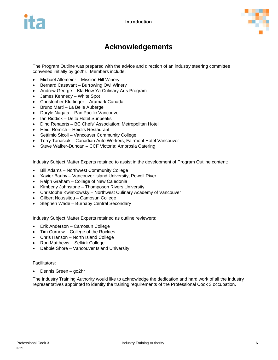

## **Acknowledgements**

<span id="page-6-0"></span>The Program Outline was prepared with the advice and direction of an industry steering committee convened initially by go2hr. Members include:

- Michael Allemeier Mission Hill Winery
- Bernard Casavant Burrowing Owl Winery
- Andrew George Kla How Ya Culinary Arts Program
- James Kennedy White Spot
- Christopher Kluftinger Aramark Canada
- Bruno Marti La Belle Auberge
- Daryle Nagata Pan Pacific Vancouver
- Ian Riddick Delta Hotel Sunpeaks
- Dino Renaerts BC Chefs' Association; Metropolitan Hotel
- Heidi Romich Heidi's Restaurant
- Settimio Sicoli Vancouver Community College
- Terry Tanasiuk Canadian Auto Workers; Fairmont Hotel Vancouver
- Steve Walker-Duncan CCF Victoria; Ambrosia Catering

Industry Subject Matter Experts retained to assist in the development of Program Outline content:

- Bill Adams Northwest Community College
- Xavier Bauby Vancouver Island University, Powell River
- Ralph Graham College of New Caledonia
- Kimberly Johnstone Thomposon Rivers University
- Christophe Kwiatkowsky Northwest Culinary Academy of Vancouver
- Gilbert Noussitou Camosun College
- Stephen Wade Burnaby Central Secondary

Industry Subject Matter Experts retained as outline reviewers:

- Erik Anderson Camosun College
- Tim Curnow College of the Rockies
- Chris Hanson North Island College
- Ron Matthews Selkirk College
- Debbie Shore Vancouver Island University

#### Facilitators:

• Dennis Green – go2hr

The Industry Training Authority would like to acknowledge the dedication and hard work of all the industry representatives appointed to identify the training requirements of the Professional Cook 3 occupation.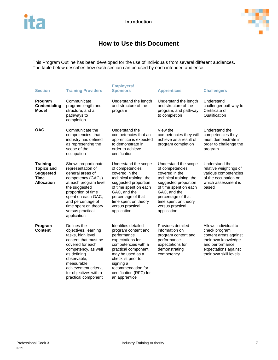

## **How to Use this Document**

<span id="page-7-0"></span>This Program Outline has been developed for the use of individuals from several different audiences. The table below describes how each section can be used by each intended audience.

| <b>Section</b>                                                                               | <b>Training Providers</b>                                                                                                                                                                                                                                                                                                                                                                                                                                                                                                                                                                                                                                 | <b>Employers/</b><br><b>Sponsors</b>                                                                                                                                                                                                   | <b>Apprentices</b>                                                                                                                                                                                                                     | <b>Challengers</b>                                                                                                       |  |
|----------------------------------------------------------------------------------------------|-----------------------------------------------------------------------------------------------------------------------------------------------------------------------------------------------------------------------------------------------------------------------------------------------------------------------------------------------------------------------------------------------------------------------------------------------------------------------------------------------------------------------------------------------------------------------------------------------------------------------------------------------------------|----------------------------------------------------------------------------------------------------------------------------------------------------------------------------------------------------------------------------------------|----------------------------------------------------------------------------------------------------------------------------------------------------------------------------------------------------------------------------------------|--------------------------------------------------------------------------------------------------------------------------|--|
| Program<br><b>Credentialing</b><br>Model                                                     | Communicate<br>program length and<br>structure, and all<br>pathways to<br>completion                                                                                                                                                                                                                                                                                                                                                                                                                                                                                                                                                                      | Understand the length<br>and structure of the<br>program                                                                                                                                                                               | Understand the length<br>and structure of the<br>program, and pathway<br>to completion                                                                                                                                                 | Understand<br>challenger pathway to<br>Certificate of<br>Qualification                                                   |  |
| <b>OAC</b>                                                                                   | Communicate the<br>competencies that<br>industry has defined<br>as representing the<br>scope of the<br>occupation                                                                                                                                                                                                                                                                                                                                                                                                                                                                                                                                         | Understand the<br>competencies that an<br>apprentice is expected<br>to demonstrate in<br>order to achieve<br>certification                                                                                                             | View the<br>competencies they will<br>achieve as a result of<br>program completion                                                                                                                                                     | Understand the<br>competencies they<br>must demonstrate in<br>order to challenge the<br>program                          |  |
| <b>Training</b><br><b>Topics and</b><br><b>Suggested</b><br><b>Time</b><br><b>Allocation</b> | Shows proportionate<br>representation of<br>general areas of<br>competency (GACs)<br>at each program level,<br>the suggested<br>proportion of time<br>spent on each GAC,<br>and percentage of<br>time spent on theory<br>versus practical<br>application                                                                                                                                                                                                                                                                                                                                                                                                  | Understand the scope<br>of competencies<br>covered in the<br>technical training, the<br>suggested proportion<br>of time spent on each<br>GAC, and the<br>percentage of that<br>time spent on theory<br>versus practical<br>application | Understand the scope<br>of competencies<br>covered in the<br>technical training, the<br>suggested proportion<br>of time spent on each<br>GAC, and the<br>percentage of that<br>time spent on theory<br>versus practical<br>application | Understand the<br>relative weightings of<br>various competencies<br>of the occupation on<br>which assessment is<br>based |  |
| Program<br><b>Content</b>                                                                    | Defines the<br>Provides detailed<br>Identifies detailed<br>objectives, learning<br>check program<br>program content and<br>information on<br>tasks, high level<br>performance<br>program content and<br>content that must be<br>expectations for<br>performance<br>covered for each<br>competencies with a<br>expectations for<br>practical component;<br>demonstrating<br>competency, as well<br>may be used as a<br>as defining<br>competency<br>observable,<br>checklist prior to<br>measurable<br>signing a<br>recommendation for<br>achievement criteria<br>for objectives with a<br>certification (RFC) for<br>practical component<br>an apprentice |                                                                                                                                                                                                                                        | Allows individual to<br>content areas against<br>their own knowledge<br>and performance<br>expectations against<br>their own skill levels                                                                                              |                                                                                                                          |  |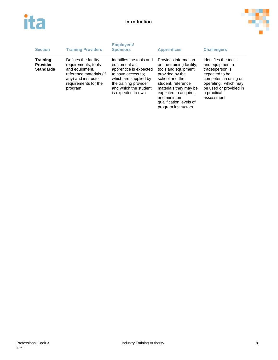



| <b>Section</b>                                         | <b>Training Providers</b>                                                                                                                          | <b>Employers/</b><br><b>Sponsors</b>                                                                                                                                                      | <b>Apprentices</b>                                                                                                                                                                                                                                    | <b>Challengers</b>                                                                                                                                                                   |
|--------------------------------------------------------|----------------------------------------------------------------------------------------------------------------------------------------------------|-------------------------------------------------------------------------------------------------------------------------------------------------------------------------------------------|-------------------------------------------------------------------------------------------------------------------------------------------------------------------------------------------------------------------------------------------------------|--------------------------------------------------------------------------------------------------------------------------------------------------------------------------------------|
| <b>Training</b><br><b>Provider</b><br><b>Standards</b> | Defines the facility<br>requirements, tools<br>and equipment,<br>reference materials (if<br>any) and instructor<br>requirements for the<br>program | Identifies the tools and<br>equipment an<br>apprentice is expected<br>to have access to:<br>which are supplied by<br>the training provider<br>and which the student<br>is expected to own | Provides information<br>on the training facility,<br>tools and equipment<br>provided by the<br>school and the<br>student, reference<br>materials they may be<br>expected to acquire.<br>and minimum<br>qualification levels of<br>program instructors | Identifies the tools<br>and equipment a<br>tradesperson is<br>expected to be<br>competent in using or<br>operating; which may<br>be used or provided in<br>a practical<br>assessment |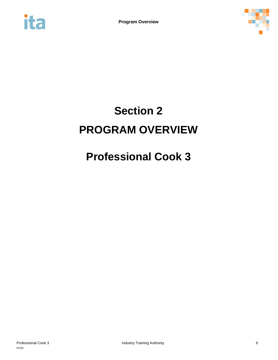<span id="page-9-0"></span>



# **Section 2 PROGRAM OVERVIEW**

# **Professional Cook 3**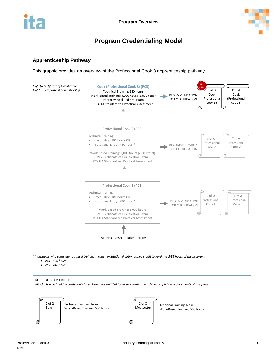



## **Program Credentialing Model**

#### <span id="page-10-0"></span>**Apprenticeship Pathway**

This graphic provides an overview of the Professional Cook 3 apprenticeship pathway.



*Individuals who complete technical training through institutional entry receive credit toward the WBT hours of the program:* 

- *PC1: 600 hours*
- *PC2: 240 hours*

CROSS-PROGRAM CREDITS *Individuals who hold the credentials listed below are entitled to receive credit toward the completion requirements of this program*

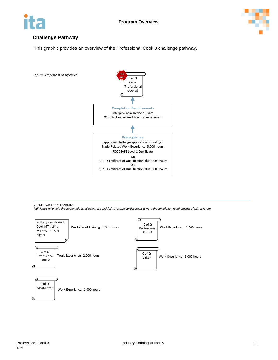



### **Challenge Pathway**

This graphic provides an overview of the Professional Cook 3 challenge pathway.



CREDIT FOR PRIOR LEARNING *Individuals who hold the credentials listed below are entitled to receive partial credit toward the completion requirements of this program*

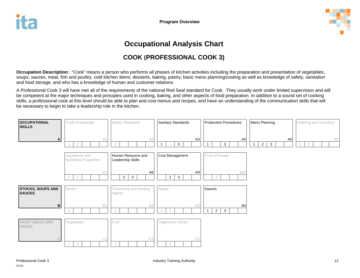

## **Occupational Analysis Chart**

## **COOK (PROFESSIONAL COOK 3)**

**Occupation Description:** "Cook" means a person who performs all phases of kitchen activities including the preparation and presentation of vegetables, soups, sauces, meat, fish and poultry, cold kitchen items; desserts, baking, pastry; basic menu planning/costing as well as knowledge of safety, sanitation and food storage, and who has a knowledge of human and customer relations.

A Professional Cook 3 will have met all of the requirements of the national Red Seal standard for Cook. They usually work under limited supervision and will be competent at the major techniques and principles used in cooking, baking, and other aspects of food preparation. In addition to a sound set of cooking skills, a professional cook at this level should be able to plan and cost menus and recipes, and have an understanding of the communication skills that will be necessary to begin to take a leadership role in the kitchen.

<span id="page-12-0"></span>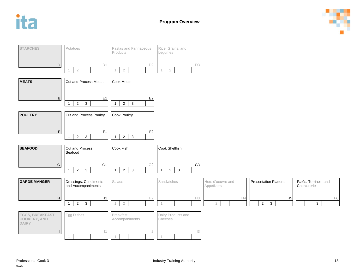





H6

H5

Patés, Terrines, and Charcuterie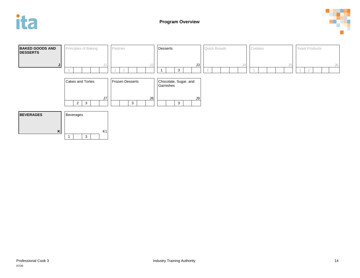



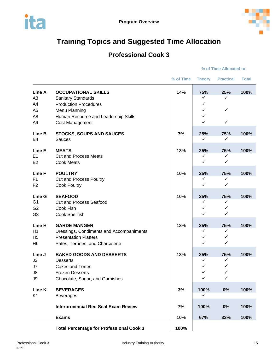

## <span id="page-15-0"></span>**Training Topics and Suggested Time Allocation**

## **Professional Cook 3**

#### **% of Time Allocated to:**

|                                                                                      |                                                                                                                                                                     | % of Time | <b>Theory</b>                      | <b>Practical</b>                   | <b>Total</b> |
|--------------------------------------------------------------------------------------|---------------------------------------------------------------------------------------------------------------------------------------------------------------------|-----------|------------------------------------|------------------------------------|--------------|
| Line A<br>A <sub>3</sub><br>A4<br>A <sub>5</sub><br>A <sub>8</sub><br>A <sub>9</sub> | <b>OCCUPATIONAL SKILLS</b><br>Sanitary Standards<br><b>Production Procedures</b><br>Menu Planning<br>Human Resource and Leadership Skills<br><b>Cost Management</b> | 14%       | 75%<br>✓<br>✓<br>✓<br>✓<br>✓       | 25%<br>✓<br>✓<br>$\checkmark$      | 100%         |
| Line B<br><b>B4</b>                                                                  | <b>STOCKS, SOUPS AND SAUCES</b><br><b>Sauces</b>                                                                                                                    | 7%        | 25%<br>✓                           | 75%<br>✓                           | 100%         |
| Line E<br>E1<br>E <sub>2</sub>                                                       | <b>MEATS</b><br><b>Cut and Process Meats</b><br><b>Cook Meats</b>                                                                                                   | 13%       | 25%<br>✓<br>✓                      | 75%<br>✓<br>$\checkmark$           | 100%         |
| <b>Line F</b><br>F <sub>1</sub><br>F <sub>2</sub>                                    | <b>POULTRY</b><br><b>Cut and Process Poultry</b><br><b>Cook Poultry</b>                                                                                             | 10%       | 25%<br>✓<br>✓                      | 75%<br>✓<br>$\checkmark$           | 100%         |
| Line G<br>G <sub>1</sub><br>G <sub>2</sub><br>G <sub>3</sub>                         | <b>SEAFOOD</b><br><b>Cut and Process Seafood</b><br>Cook Fish<br><b>Cook Shellfish</b>                                                                              | 10%       | 25%<br>✓<br>✓<br>✓                 | 75%<br>✓<br>✓<br>✓                 | 100%         |
| Line H<br>H1<br>H <sub>5</sub><br>H <sub>6</sub>                                     | <b>GARDE MANGER</b><br>Dressings, Condiments and Accompaniments<br><b>Presentation Platters</b><br>Patés, Terrines, and Charcuterie                                 | 13%       | 25%<br>✓<br>✓<br>✓                 | 75%<br>✓<br>$\checkmark$<br>✓      | 100%         |
| Line J<br>J3<br>J7<br>J8<br>J9                                                       | <b>BAKED GOODS AND DESSERTS</b><br><b>Desserts</b><br><b>Cakes and Tortes</b><br><b>Frozen Desserts</b><br>Chocolate, Sugar, and Garnishes                          | 13%       | 25%<br>✓<br>✓<br>$\checkmark$<br>✓ | 75%<br>✓<br>✓<br>$\checkmark$<br>✓ | 100%         |
| Line K<br>K <sub>1</sub>                                                             | <b>BEVERAGES</b><br><b>Beverages</b>                                                                                                                                | 3%        | 100%<br>✓                          | 0%                                 | 100%         |
|                                                                                      | <b>Interprovincial Red Seal Exam Review</b>                                                                                                                         | 7%        | 100%                               | 0%                                 | 100%         |
|                                                                                      | <b>Exams</b>                                                                                                                                                        | 10%       | 67%                                | 33%                                | 100%         |
|                                                                                      | <b>Total Percentage for Professional Cook 3</b>                                                                                                                     | 100%      |                                    |                                    |              |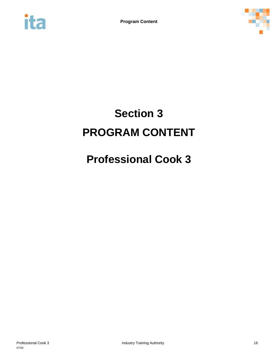<span id="page-16-0"></span>



# **Section 3 PROGRAM CONTENT**

# **Professional Cook 3**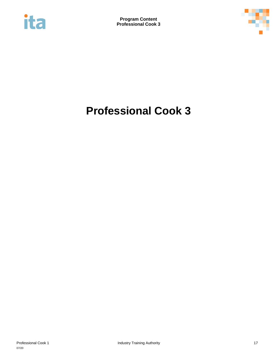<span id="page-17-0"></span>



# **Professional Cook 3**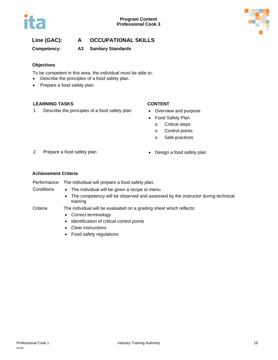

### **Line (GAC): A OCCUPATIONAL SKILLS**

**Competency: A3 Sanitary Standards**

#### **Objectives**

To be competent in this area, the individual must be able to:

- Describe the principles of a food safety plan.
- Prepare a food safety plan.

#### **LEARNING TASKS CONTENT**

1. Describe the principles of a food safety plan • Overview and purpose

- 
- Food Safety Plan
	- o Critical steps
	- o Control points
	- o Safe practices
- 2. Prepare a food safety plan **•** Design a food safety plan
- 

#### **Achievement Criteria**

| Performance | The individual will prepare a food safety plan.                                                                                                             |
|-------------|-------------------------------------------------------------------------------------------------------------------------------------------------------------|
| Conditions  | • The individual will be given a recipe or menu<br>The competency will be observed and assessed by the instructor during technical<br>$\bullet$<br>training |
| Criteria    | The individual will be evaluated on a grading sheet which reflects:<br>• Correct terminology<br>Identification of critical control points<br>$\bullet$      |
|             | • Clear instructions<br>• Food safety regulations                                                                                                           |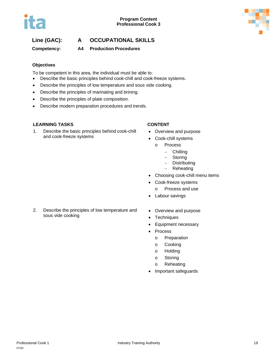### **Line (GAC): A OCCUPATIONAL SKILLS**

**Competency: A4 Production Procedures**

### **Objectives**

To be competent in this area, the individual must be able to:

- Describe the basic principles behind cook-chill and cook-freeze systems.
- Describe the principles of low temperature and sous vide cooking.
- Describe the principles of marinating and brining.
- Describe the principles of plate composition.
- Describe modern preparation procedures and trends.

#### **LEARNING TASKS CONTENT**

1. Describe the basic principles behind cook-chill and cook-freeze systems

- Overview and purpose
- Cook-chill systems
	- o Process
		- − Chilling
		- − Storing
		- − Distributing
		- − Reheating
- Choosing cook-chill menu items
- Cook-freeze systems
	- o Process and use
- Labour savings
- 2. Describe the principles of low temperature and sous vide cooking
- Overview and purpose
- Techniques
- Equipment necessary
- Process
	- o Preparation
	- o Cooking
	- o Holding
	- o Storing
	- o Reheating
- Important safeguards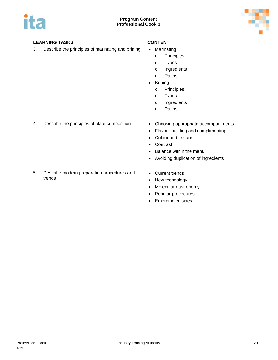



3. Describe the principles of marinating and brining • Marinating

- - o Principles
	- o Types
	- o Ingredients
	- o Ratios
- **Brining** 
	- o Principles
	- o Types
	- o Ingredients
	- o Ratios
- 4. Describe the principles of plate composition Choosing appropriate accompaniments
	-
	- Flavour building and complimenting
	- Colour and texture
	- Contrast
	- Balance within the menu
	- Avoiding duplication of ingredients
- 5. Describe modern preparation procedures and trends
- Current trends
- New technology
- Molecular gastronomy
- Popular procedures
- Emerging cuisines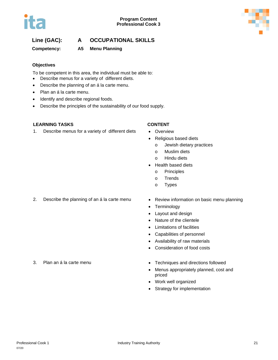### **Line (GAC): A OCCUPATIONAL SKILLS**

**Competency: A5 Menu Planning**

### **Objectives**

To be competent in this area, the individual must be able to:

- Describe menus for a variety of different diets.
- Describe the planning of an á la carte menu.
- Plan an á la carte menu.
- Identify and describe regional foods.
- Describe the principles of the sustainability of our food supply.

#### **LEARNING TASKS CONTENT**

1. Describe menus for a variety of different diets • Overview

- 
- Religious based diets
	- o Jewish dietary practices
	- o Muslim diets
	- o Hindu diets
- Health based diets
	- o Principles
	- o Trends
	- o Types
- 2. Describe the planning of an á la carte menu Review information on basic menu planning
	-
	- Terminology
	- Layout and design
	- Nature of the clientele
	- Limitations of facilities
	- Capabilities of personnel
	- Availability of raw materials
	- Consideration of food costs
- 3. Plan an á la carte menu **•** Techniques and directions followed
	- Menus appropriately planned, cost and priced
	- Work well organized
	- Strategy for implementation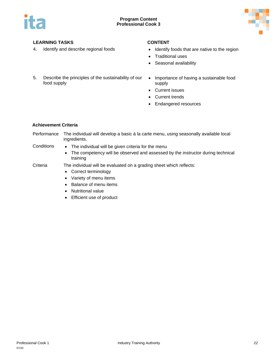



- 4. Identify and describe regional foods Identify foods that are native to the region
	- Traditional uses
	- Seasonal availability
- 5. Describe the principles of the sustainability of our food supply
- Importance of having a sustainable food supply
- Current issues
- Current trends
- Endangered resources

#### **Achievement Criteria**

Performance The individual will develop a basic á la carte menu, using seasonally available local ingredients.

- 
- Conditions The individual will be given criteria for the menu
	- The competency will be observed and assessed by the instructor during technical training
- Criteria The individual will be evaluated on a grading sheet which reflects:
	- Correct terminology
	- Variety of menu items
	- Balance of menu items
	- Nutritional value
	- Efficient use of product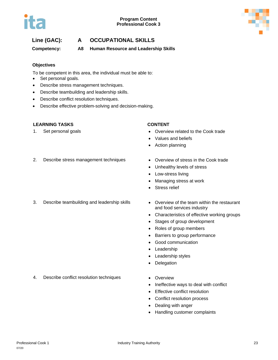

### **Line (GAC): A OCCUPATIONAL SKILLS**

**Competency: A8 Human Resource and Leadership Skills**

#### **Objectives**

To be competent in this area, the individual must be able to:

- Set personal goals.
- Describe stress management techniques.
- Describe teambuilding and leadership skills.
- Describe conflict resolution techniques.
- Describe effective problem-solving and decision-making.

#### **LEARNING TASKS CONTENT**

- 1. Set personal goals  **Cook trade is a set of the Cook trade •** Overview related to the Cook trade
	- Values and beliefs
	- Action planning
- 2. Describe stress management techniques Overview of stress in the Cook trade
	-
	- Unhealthy levels of stress
	- Low-stress living
	- Managing stress at work
	- Stress relief
- 3. Describe teambuilding and leadership skills Overview of the team within the restaurant
	- and food services industry
	- Characteristics of effective working groups
	- Stages of group development
	- Roles of group members
	- Barriers to group performance
	- Good communication
	- Leadership
	- Leadership styles
	- Delegation
- 4. Describe conflict resolution techniques Overview
	-
	- Ineffective ways to deal with conflict
	- Effective conflict resolution
	- Conflict resolution process
	- Dealing with anger
	- Handling customer complaints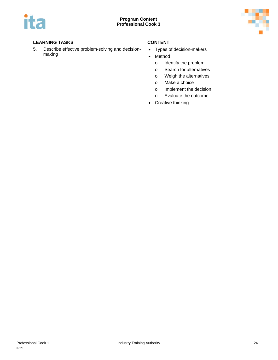

5. Describe effective problem-solving and decisionmaking

- Types of decision-makers
- Method
	- o Identify the problem
	- o Search for alternatives
	- o Weigh the alternatives
	- o Make a choice
	- o Implement the decision
	- o Evaluate the outcome
- Creative thinking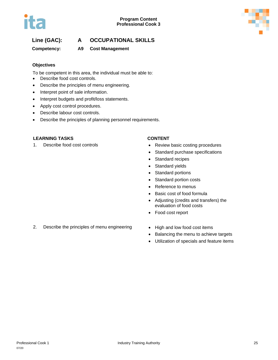### **Line (GAC): A OCCUPATIONAL SKILLS**

### **Competency: A9 Cost Management**

#### **Objectives**

To be competent in this area, the individual must be able to:

- Describe food cost controls.
- Describe the principles of menu engineering.
- Interpret point of sale information.
- Interpret budgets and profit/loss statements.
- Apply cost control procedures.
- Describe labour cost controls.
- Describe the principles of planning personnel requirements.

#### **LEARNING TASKS CONTENT**

- 1. Describe food cost controls **•** Review basic costing procedures
	- Standard purchase specifications
	- Standard recipes
	- Standard yields
	- Standard portions
	- Standard portion costs
	- Reference to menus
	- Basic cost of food formula
	- Adjusting (credits and transfers) the evaluation of food costs
	- Food cost report
- 2. Describe the principles of menu engineering High and low food cost items
	-
	- Balancing the menu to achieve targets
	- Utilization of specials and feature items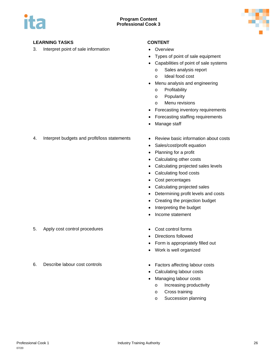

3. Interpret point of sale information • Overview

- 
- Types of point of sale equipment
- Capabilities of point of sale systems
	- o Sales analysis report
	- o Ideal food cost
- Menu analysis and engineering
	- o Profitability
	- o Popularity
	- o Menu revisions
- Forecasting inventory requirements
- Forecasting staffing requirements
- Manage staff
- 4. Interpret budgets and profit/loss statements Review basic information about costs
	-
	- Sales/cost/profit equation
	- Planning for a profit
	- Calculating other costs
	- Calculating projected sales levels
	- Calculating food costs
	- Cost percentages
	- Calculating projected sales
	- Determining profit levels and costs
	- Creating the projection budget
	- Interpreting the budget
	- Income statement
- 5. Apply cost control procedures Cost control forms
- 
- 
- Directions followed
- Form is appropriately filled out
- Work is well organized
- 6. Describe labour cost controls Factors affecting labour costs
	- Calculating labour costs
	- Managing labour costs
		- o Increasing productivity
		- o Cross training
		- o Succession planning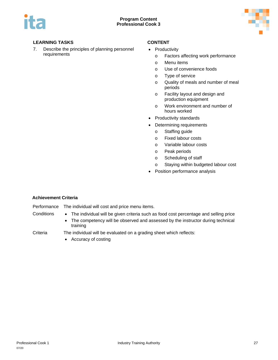

7. Describe the principles of planning personnel requirements

- Productivity
	- o Factors affecting work performance
	- o Menu items
	- o Use of convenience foods
	- o Type of service
	- o Quality of meals and number of meal periods
	- o Facility layout and design and production equipment
	- o Work environment and number of hours worked
- Productivity standards
- Determining requirements
	- o Staffing guide
	- o Fixed labour costs
	- o Variable labour costs
	- o Peak periods
	- o Scheduling of staff
	- o Staying within budgeted labour cost
- Position performance analysis

#### **Achievement Criteria**

#### Performance The individual will cost and price menu items.

- Conditions The individual will be given criteria such as food cost percentage and selling price
	- The competency will be observed and assessed by the instructor during technical training

- Criteria The individual will be evaluated on a grading sheet which reflects:
	- Accuracy of costing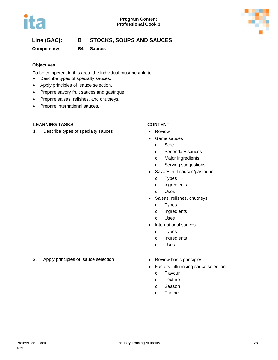



### **Line (GAC): B STOCKS, SOUPS AND SAUCES**

**Competency: B4 Sauces**

#### **Objectives**

To be competent in this area, the individual must be able to:

- Describe types of specialty sauces.
- Apply principles of sauce selection.
- Prepare savory fruit sauces and gastrique.
- Prepare salsas, relishes, and chutneys.
- Prepare international sauces.

#### **LEARNING TASKS CONTENT**

1. Describe types of specialty sauces • Review

- 
- Game sauces
	- o Stock
	- o Secondary sauces
	- o Major ingredients
	- o Serving suggestions
- Savory fruit sauces/gastrique
	- o Types
	- o Ingredients
	- o Uses
- Salsas, relishes, chutneys
	- o Types
	- o Ingredients
	- o Uses
- International sauces
	- o Types
	- o Ingredients
	- o Uses
- 2. Apply principles of sauce selection Review basic principles
	-
	- Factors influencing sauce selection
		- o Flavour
		- o Texture
		- o Season
		- o Theme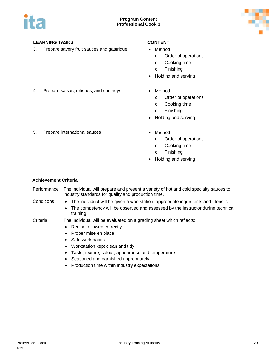

3. Prepare savory fruit sauces and gastrique • Method

- - o Order of operations
	- o Cooking time
	- o Finishing
- Holding and serving
- 4. Prepare salsas, relishes, and chutneys Method
	- - o Order of operations
		- o Cooking time
		- o Finishing
	- Holding and serving
- 5. Prepare international sauces Method
	- - o Order of operations
		- o Cooking time
		- o Finishing
	- Holding and serving

#### **Achievement Criteria**

Performance The individual will prepare and present a variety of hot and cold specialty sauces to industry standards for quality and production time.

- 
- Conditions The individual will be given a workstation, appropriate ingredients and utensils
	- The competency will be observed and assessed by the instructor during technical training

#### Criteria The individual will be evaluated on a grading sheet which reflects:

- Recipe followed correctly
- Proper mise en place
- Safe work habits
- Workstation kept clean and tidy
- Taste, texture, colour, appearance and temperature
- Seasoned and garnished appropriately
- Production time within industry expectations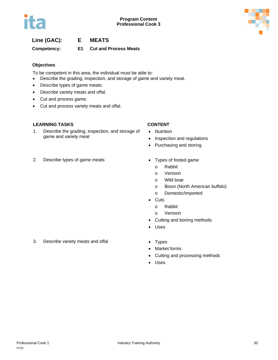### **Line (GAC): E MEATS**

**Competency: E1 Cut and Process Meats**

#### **Objectives**

To be competent in this area, the individual must be able to:

- Describe the grading, inspection, and storage of game and variety meat.
- Describe types of game meats.
- Describe variety meats and offal.
- Cut and process game.
- Cut and process variety meats and offal.

#### **LEARNING TASKS CONTENT**

1. Describe the grading, inspection, and storage of game and variety meat

- Nutrition
- Inspection and regulations
- Purchasing and storing
- 2. Describe types of game meats Types of footed game
- - o Rabbit
	- o Venison
	- o Wild boar
	- o Bison (North American buffalo)
	- o Domestic/imported
	- Cuts
		- o Rabbit
		- o Venison
	- Cutting and boning methods
	- Uses
- 3. Describe variety meats and offal **•** Types
	-
	- Market forms
	- Cutting and processing methods
	- Uses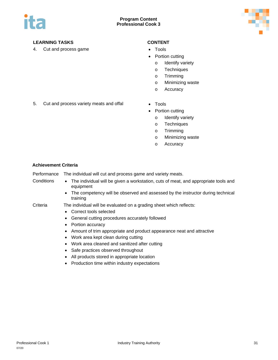

4. Cut and process game **•** Tools

- 
- Portion cutting
	- o Identify variety
	- o Techniques
	- o Trimming
	- o Minimizing waste
	- o Accuracy
- 5. Cut and process variety meats and offal Tools
	-
	- Portion cutting
		- o Identify variety
		- o Techniques
		- o Trimming
		- o Minimizing waste
		- o Accuracy

#### **Achievement Criteria**

Performance The individual will cut and process game and variety meats.

- Conditions The individual will be given a workstation, cuts of meat, and appropriate tools and equipment
	- The competency will be observed and assessed by the instructor during technical training

Criteria The individual will be evaluated on a grading sheet which reflects:

- Correct tools selected
- General cutting procedures accurately followed
- Portion accuracy
- Amount of trim appropriate and product appearance neat and attractive
- Work area kept clean during cutting
- Work area cleaned and sanitized after cutting
- Safe practices observed throughout
- All products stored in appropriate location
- Production time within industry expectations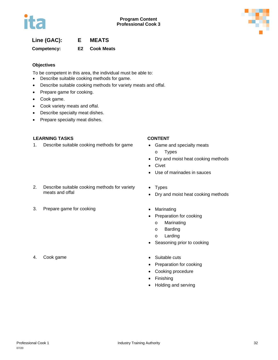### **Line (GAC): E MEATS**

**Competency: E2 Cook Meats**

#### **Objectives**

To be competent in this area, the individual must be able to:

- Describe suitable cooking methods for game.
- Describe suitable cooking methods for variety meats and offal.
- Prepare game for cooking.
- Cook game.
- Cook variety meats and offal.
- Describe specialty meat dishes.
- Prepare specialty meat dishes.

#### **LEARNING TASKS CONTENT**

1. Describe suitable cooking methods for game • Game and specialty meats

- o Types
- Dry and moist heat cooking methods
- Civet
- Use of marinades in sauces
- 2. Describe suitable cooking methods for variety meats and offal
- 3. Prepare game for cooking example and the Marinating of Marinating
- Types • Dry and moist heat cooking methods
- - Preparation for cooking
		- o Marinating
		- o Barding
		- o Larding
	- Seasoning prior to cooking
	-
	- Preparation for cooking
	- Cooking procedure
	- Finishing
	- Holding and serving
- 4. Cook game **•** Suitable cuts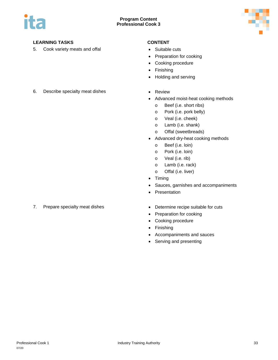



5. Cook variety meats and offal **•** Suitable cuts

- 
- Preparation for cooking
- Cooking procedure
- Finishing
- Holding and serving
- 6. Describe specialty meat dishes Review
	-
	- Advanced moist-heat cooking methods
		- o Beef (i.e. short ribs)
		- o Pork (i.e. pork belly)
		- o Veal (i.e. cheek)
		- o Lamb (i.e. shank)
		- o Offal (sweetbreads)
	- Advanced dry-heat cooking methods
		- o Beef (i.e. loin)
		- o Pork (i.e. loin)
		- o Veal (i.e. rib)
		- o Lamb (i.e. rack)
		- o Offal (i.e. liver)
	- Timing
	- Sauces, garnishes and accompaniments
	- Presentation
- 7. Prepare specialty meat dishes **•** Determine recipe suitable for cuts
	-
	- Preparation for cooking
	- Cooking procedure
	- Finishing
	- Accompaniments and sauces
	- Serving and presenting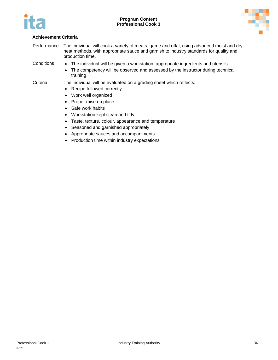



#### **Achievement Criteria**

Performance The individual will cook a variety of meats, game and offal, using advanced moist and dry heat methods, with appropriate sauce and garnish to industry standards for quality and production time.

- Conditions The individual will be given a workstation, appropriate ingredients and utensils
	- The competency will be observed and assessed by the instructor during technical training

Criteria The individual will be evaluated on a grading sheet which reflects:

- Recipe followed correctly
- Work well organized
- Proper mise en place
- Safe work habits
- Workstation kept clean and tidy
- Taste, texture, colour, appearance and temperature
- Seasoned and garnished appropriately
- Appropriate sauces and accompaniments
- Production time within industry expectations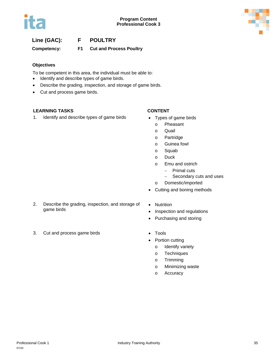

### **Line (GAC): F POULTRY**

**Competency: F1 Cut and Process Poultry**

#### **Objectives**

To be competent in this area, the individual must be able to:

- Identify and describe types of game birds.
- Describe the grading, inspection, and storage of game birds.
- Cut and process game birds.

#### **LEARNING TASKS CONTENT**

1. Identify and describe types of game birds • Types of game birds

- - o Pheasant
	- o Quail
	- o Partridge
	- o Guinea fowl
	- o Squab
	- o Duck
	- o Emu and ostrich
		- − Primal cuts
		- − Secondary cuts and uses
	- o Domestic/imported
- Cutting and boning methods
- 2. Describe the grading, inspection, and storage of game birds
- Nutrition
- Inspection and regulations
- Purchasing and storing
- 3. Cut and process game birds **•** Tools
	-
	- Portion cutting
		- o Identify variety
		- o Techniques
		- o Trimming
		- o Minimizing waste
		- o Accuracy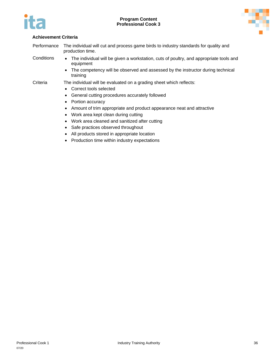



| Performance | The individual will cut and process game birds to industry standards for quality and<br>production time. |                                                                                                       |
|-------------|----------------------------------------------------------------------------------------------------------|-------------------------------------------------------------------------------------------------------|
| Conditions  |                                                                                                          | • The individual will be given a workstation, cuts of poultry, and appropriate tools and<br>equipment |

• The competency will be observed and assessed by the instructor during technical training

- Correct tools selected
- General cutting procedures accurately followed
- Portion accuracy
- Amount of trim appropriate and product appearance neat and attractive
- Work area kept clean during cutting
- Work area cleaned and sanitized after cutting
- Safe practices observed throughout
- All products stored in appropriate location
- Production time within industry expectations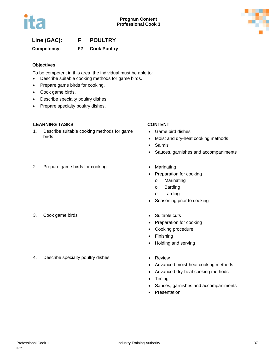

## **Line (GAC): F POULTRY**

**Competency: F2 Cook Poultry**

#### **Objectives**

To be competent in this area, the individual must be able to:

- Describe suitable cooking methods for game birds.
- Prepare game birds for cooking.
- Cook game birds.
- Describe specialty poultry dishes.
- Prepare specialty poultry dishes.

#### **LEARNING TASKS CONTENT**

1. Describe suitable cooking methods for game birds

- Game bird dishes
- Moist and dry-heat cooking methods
- Salmis
- Sauces, garnishes and accompaniments
- 2. Prepare game birds for cooking **•** Marinating
- - Preparation for cooking
		- o Marinating
		- o Barding
		- o Larding
	- Seasoning prior to cooking
- 3. Cook game birds **•** Suitable cuts
	-
	- Preparation for cooking
	- Cooking procedure
	- **Finishing**
	- Holding and serving
- 4. Describe specialty poultry dishes Review
	-
	- Advanced moist-heat cooking methods
	- Advanced dry-heat cooking methods
	- Timing
	- Sauces, garnishes and accompaniments
	- Presentation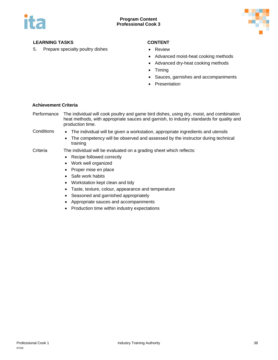

### **LEARNING TASKS CONTENT**

5. Prepare specialty poultry dishes • Review

- 
- Advanced moist-heat cooking methods
- Advanced dry-heat cooking methods
- Timing
- Sauces, garnishes and accompaniments
- Presentation

#### **Achievement Criteria**

Performance The individual will cook poultry and game bird dishes, using dry, moist, and combination heat methods, with appropriate sauces and garnish, to industry standards for quality and production time.

- Conditions The individual will be given a workstation, appropriate ingredients and utensils
	- The competency will be observed and assessed by the instructor during technical training
- Criteria The individual will be evaluated on a grading sheet which reflects:
	- Recipe followed correctly
	- Work well organized
	- Proper mise en place
	- Safe work habits
	- Workstation kept clean and tidy
	- Taste, texture, colour, appearance and temperature
	- Seasoned and garnished appropriately
	- Appropriate sauces and accompaniments
	- Production time within industry expectations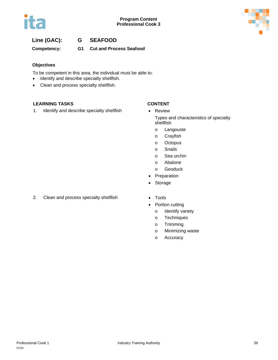

# **Line (GAC): G SEAFOOD**

**Competency: G1 Cut and Process Seafood**

### **Objectives**

To be competent in this area, the individual must be able to:

- Identify and describe specialty shellfish.
- Clean and process specialty shellfish.

### **LEARNING TASKS CONTENT**

1. Identify and describe specialty shellfish • Review

- Types and characteristics of specialty shellfish
	- o Langouste
	- o Crayfish
	- o Octopus
	- o Snails
	- o Sea urchin
	- o Abalone
	- o Geoduck
- **Preparation**
- Storage
- 2. Clean and process specialty shellfish Tools
	-
	- Portion cutting
		- o Identify variety
		- o Techniques
		- o Trimming
		- o Minimizing waste
		- o Accuracy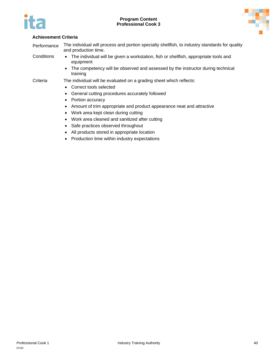



Performance The individual will process and portion specialty shellfish, to industry standards for quality and production time.

- Conditions The individual will be given a workstation, fish or shellfish, appropriate tools and equipment
	- The competency will be observed and assessed by the instructor during technical training

- Correct tools selected
- General cutting procedures accurately followed
- Portion accuracy
- Amount of trim appropriate and product appearance neat and attractive
- Work area kept clean during cutting
- Work area cleaned and sanitized after cutting
- Safe practices observed throughout
- All products stored in appropriate location
- Production time within industry expectations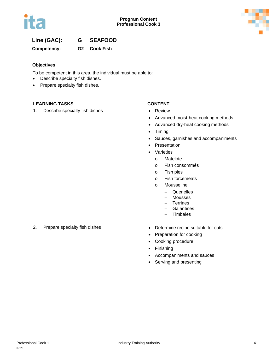



### **Line (GAC): G SEAFOOD**

**Competency: G2 Cook Fish**

#### **Objectives**

To be competent in this area, the individual must be able to:

- Describe specialty fish dishes.
- Prepare specialty fish dishes.

### **LEARNING TASKS CONTENT**

1. Describe specialty fish dishes • Review

- 
- Advanced moist-heat cooking methods
- Advanced dry-heat cooking methods
- Timing
- Sauces, garnishes and accompaniments
- **Presentation**
- Varieties
	- o Matelote
	- o Fish consommés
	- o Fish pies
	- o Fish forcemeats
	- o Mousseline
		- − Quenelles
		- − Mousses
		- − Terrines
		- − Galantines
		- − Timbales
- 2. Prepare specialty fish dishes **•** Determine recipe suitable for cuts
	-
	- Preparation for cooking
	- Cooking procedure
	- Finishing
	- Accompaniments and sauces
	- Serving and presenting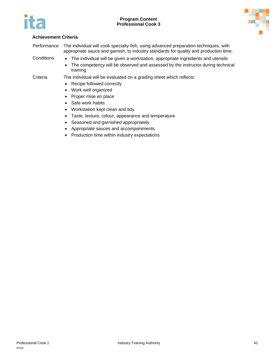



Performance The individual will cook specialty fish, using advanced preparation techniques, with appropriate sauce and garnish, to industry standards for quality and production time.

- Conditions The individual will be given a workstation, appropriate ingredients and utensils
	- The competency will be observed and assessed by the instructor during technical training

- Recipe followed correctly
- Work well organized
- Proper mise en place
- Safe work habits
- Workstation kept clean and tidy
- Taste, texture, colour, appearance and temperature
- Seasoned and garnished appropriately
- Appropriate sauces and accompaniments
- Production time within industry expectations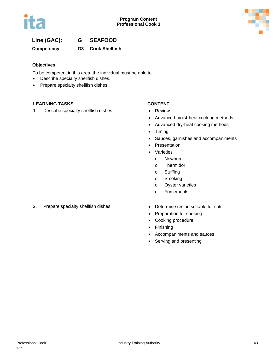

### **Line (GAC): G SEAFOOD**

**Competency: G3 Cook Shellfish**

#### **Objectives**

To be competent in this area, the individual must be able to:

- Describe specialty shellfish dishes.
- Prepare specialty shellfish dishes.

#### **LEARNING TASKS CONTENT**

1. Describe specialty shellfish dishes • Review

- 
- Advanced moist-heat cooking methods
- Advanced dry-heat cooking methods
- Timing
- Sauces, garnishes and accompaniments
- **Presentation**
- Varieties
	- o Newburg
	- o Thermidor
	- o Stuffing
	- o Smoking
	- o Oyster varieties
	- o Forcemeats
- 2. Prepare specialty shellfish dishes Determine recipe suitable for cuts
	-
	- Preparation for cooking
	- Cooking procedure
	- Finishing
	- Accompaniments and sauces
	- Serving and presenting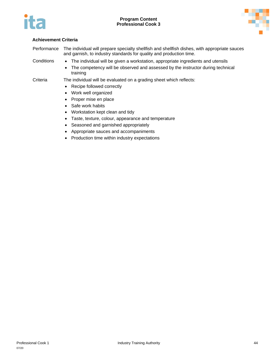



Performance The individual will prepare specialty shellfish and shellfish dishes, with appropriate sauces and garnish, to industry standards for quality and production time.

- 
- Conditions The individual will be given a workstation, appropriate ingredients and utensils
	- The competency will be observed and assessed by the instructor during technical training

- Recipe followed correctly
- Work well organized
- Proper mise en place
- Safe work habits
- Workstation kept clean and tidy
- Taste, texture, colour, appearance and temperature
- Seasoned and garnished appropriately
- Appropriate sauces and accompaniments
- Production time within industry expectations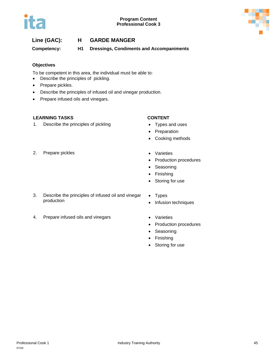



### **Line (GAC): H GARDE MANGER**

**Competency: H1 Dressings, Condiments and Accompaniments**

#### **Objectives**

To be competent in this area, the individual must be able to:

- Describe the principles of pickling.
- Prepare pickles.
- Describe the principles of infused oil and vinegar production.
- Prepare infused oils and vinegars.

#### **LEARNING TASKS CONTENT**

1. Describe the principles of pickling **•** Types and uses

- 
- Preparation
- Cooking methods
- 2. Prepare pickles **•** Varieties
- - Production procedures
	- Seasoning
	- Finishing
	- Storing for use
- 3. Describe the principles of infused oil and vinegar production
- 4. Prepare infused oils and vinegars **•** Varieties
- Types • Infusion techniques
	-
	- Production procedures
	- Seasoning
	- Finishing
	- Storing for use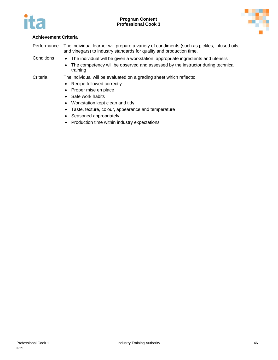



Performance The individual learner will prepare a variety of condiments (such as pickles, infused oils, and vinegars) to industry standards for quality and production time.

- Conditions The individual will be given a workstation, appropriate ingredients and utensils
	- The competency will be observed and assessed by the instructor during technical training

- Recipe followed correctly
- Proper mise en place
- Safe work habits
- Workstation kept clean and tidy
- Taste, texture, colour, appearance and temperature
- Seasoned appropriately
- Production time within industry expectations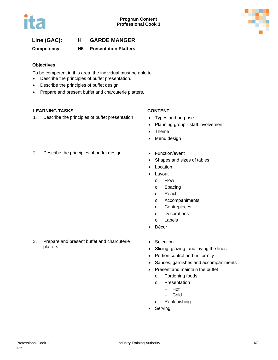



### **Line (GAC): H GARDE MANGER**

**Competency: H5 Presentation Platters**

#### **Objectives**

To be competent in this area, the individual must be able to:

- Describe the principles of buffet presentation.
- Describe the principles of buffet design.
- Prepare and present buffet and charcuterie platters.

### **LEARNING TASKS CONTENT**

1. Describe the principles of buffet presentation • Types and purpose

- 
- Planning group staff involvement
- Theme
- Menu design
- 2. Describe the principles of buffet design Function/event
- - Shapes and sizes of tables
	- **Location**
	- Layout
		- o Flow
		- o Spacing
		- o Reach
		- o Accompaniments
		- o Centrepieces
		- o Decorations
		- o Labels
	- Décor
- 3. Prepare and present buffet and charcuterie platters
- Selection
- Slicing, glazing, and laying the lines
- Portion control and uniformity
- Sauces, garnishes and accompaniments
- Present and maintain the buffet
	- o Portioning foods
	- o Presentation
		- − Hot
		- − Cold
	- o Replenishing
- Serving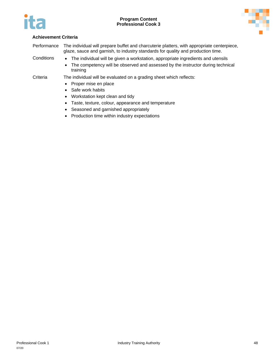



Performance The individual will prepare buffet and charcuterie platters, with appropriate centerpiece, glaze, sauce and garnish, to industry standards for quality and production time.

- Conditions The individual will be given a workstation, appropriate ingredients and utensils
	- The competency will be observed and assessed by the instructor during technical training

- Proper mise en place
- Safe work habits
- Workstation kept clean and tidy
- Taste, texture, colour, appearance and temperature
- Seasoned and garnished appropriately
- Production time within industry expectations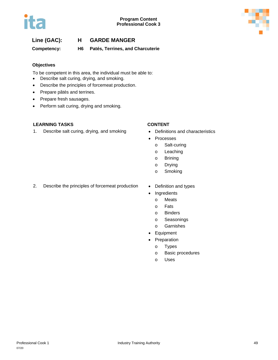



### **Line (GAC): H GARDE MANGER**

**Competency: H6 Patés, Terrines, and Charcuterie**

#### **Objectives**

To be competent in this area, the individual must be able to:

- Describe salt curing, drying, and smoking.
- Describe the principles of forcemeat production.
- Prepare pâtés and terrines.
- Prepare fresh sausages.
- Perform salt curing, drying and smoking.

#### **LEARNING TASKS CONTENT**

1. Describe salt curing, drying, and smoking • Definitions and characteristics

- 
- **Processes** 
	- o Salt-curing
	- o Leaching
	- o Brining
	- o Drying
	- o Smoking
- 2. Describe the principles of forcemeat production Definition and types
	-
	- **Ingredients** 
		- o Meats
		- o Fats
		- o Binders
		- o Seasonings
		- o Garnishes
	- Equipment
	- **Preparation** 
		- o Types
		- o Basic procedures
		- o Uses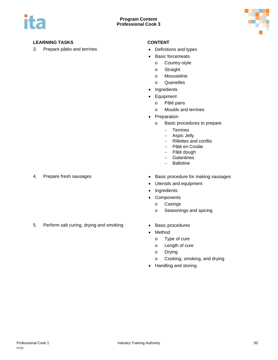



### **LEARNING TASKS CONTENT**

3. Prepare pâtés and terrines • Definitions and types

- 
- Basic forcemeats
	- o Country-style
	- o Straight
	- o Mousseline
	- o Quenelles
- Ingredients
- Equipment
	- o Pâté pans
	- o Moulds and terrines
- Preparation
	- o Basic procedures to prepare
		- − Terrines
		- − Aspic Jelly
		- − Rillettes and confits
		- − Pâté en Croûte
		- − Pâté dough
		- − Galantines
		- − Ballotine

- 
- 4. Prepare fresh sausages  **Basic procedure for making sausages** 
	- Utensils and equipment
	- Ingredients
	- Components
		- o Casings
		- o Seasonings and spicing
- 5. Perform salt curing, drying and smoking Basic procedures
	-
	- Method
		- o Type of cure
		- o Length of cure
		- o Drying
		- o Cooking, smoking, and drying
	- Handling and storing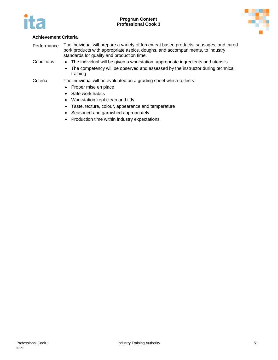



Performance The individual will prepare a variety of forcemeat based products, sausages, and cured pork products with appropriate aspics, doughs, and accompaniments, to industry standards for quality and production time.

- Conditions The individual will be given a workstation, appropriate ingredients and utensils
	- The competency will be observed and assessed by the instructor during technical training

- Proper mise en place
- Safe work habits
- Workstation kept clean and tidy
- Taste, texture, colour, appearance and temperature
- Seasoned and garnished appropriately
- Production time within industry expectations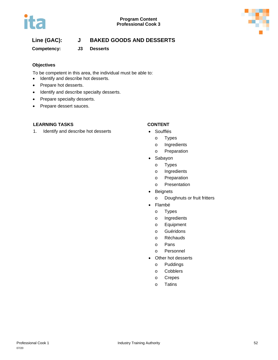



# **Line (GAC): J BAKED GOODS AND DESSERTS**

**Competency: J3 Desserts**

### **Objectives**

To be competent in this area, the individual must be able to:

- Identify and describe hot desserts.
- Prepare hot desserts.
- Identify and describe specialty desserts.
- Prepare specialty desserts.
- Prepare dessert sauces.

### **LEARNING TASKS CONTENT**

1. Identify and describe hot desserts • Soufflés

- 
- o Types
- o Ingredients
- o Preparation
- Sabayon
	- o Types
	- o Ingredients
	- o Preparation
	- o Presentation
- Beignets
	- o Doughnuts or fruit fritters
- Flambé
	- o Types
	- o Ingredients
	- o Equipment
	- o Guéridons
	- o Réchauds
	- o Pans
	- o Personnel
- Other hot desserts
	- o Puddings
	- o Cobblers
	- o Crepes
	- o Tatins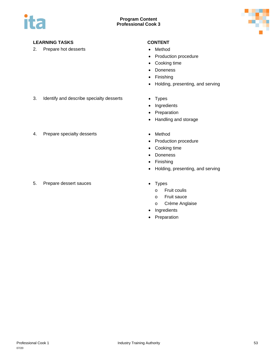



### **LEARNING TASKS CONTENT**

2. Prepare hot desserts **•** Method

- 
- Production procedure
- Cooking time
- Doneness
- Finishing
- Holding, presenting, and serving
- 3. Identify and describe specialty desserts Types
	-
	- Ingredients • Preparation
	- Handling and storage
- 4. Prepare specialty desserts **•** Method

5. Prepare dessert sauces **•** Types

- 
- Production procedure
- Cooking time
- Doneness
- Finishing
- Holding, presenting, and serving
- - o Fruit coulis
	- o Fruit sauce
	- o Crème Anglaise
- Ingredients
- Preparation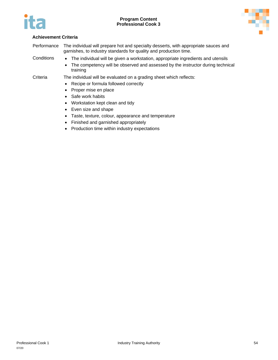



| Performance | The individual will prepare hot and specialty desserts, with appropriate sauces and<br>garnishes, to industry standards for quality and production time. |  |  |
|-------------|----------------------------------------------------------------------------------------------------------------------------------------------------------|--|--|
| Conditions  | • The individual will be given a workstation, appropriate ingredients and utensils                                                                       |  |  |
|             | The competency will be observed and assessed by the instructor during technical<br>$\bullet$<br>training                                                 |  |  |
| Criteria    | The individual will be evaluated on a grading sheet which reflects:                                                                                      |  |  |
|             | • Recipe or formula followed correctly                                                                                                                   |  |  |
|             | • Proper mise en place                                                                                                                                   |  |  |

- Safe work habits
- Workstation kept clean and tidy
- Even size and shape
- Taste, texture, colour, appearance and temperature
- Finished and garnished appropriately
- Production time within industry expectations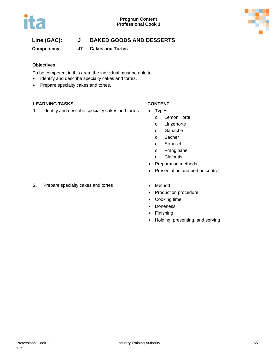



# **Line (GAC): J BAKED GOODS AND DESSERTS**

**Competency: J7 Cakes and Tortes**

#### **Objectives**

To be competent in this area, the individual must be able to:

- Identify and describe specialty cakes and tortes.
- Prepare specialty cakes and tortes.

#### **LEARNING TASKS CONTENT**

1. Identify and describe specialty cakes and tortes • Types

- - o Lemon Torte
	- o Linzertorte
	- o Ganache
	- o Sacher
	- o Struesel
	- o Frangipane
	- o Clafoutis
- Preparation methods
- Presentation and portion control
- 2. Prepare specialty cakes and tortes Method
- - Production procedure
	- Cooking time
	- Doneness
	- Finishing
	- Holding, presenting, and serving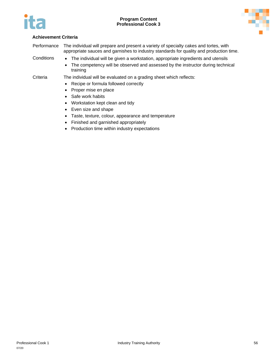



Performance The individual will prepare and present a variety of specialty cakes and tortes, with appropriate sauces and garnishes to industry standards for quality and production time.

- Conditions The individual will be given a workstation, appropriate ingredients and utensils
	- The competency will be observed and assessed by the instructor during technical training

- Recipe or formula followed correctly
- Proper mise en place
- Safe work habits
- Workstation kept clean and tidy
- Even size and shape
- Taste, texture, colour, appearance and temperature
- Finished and garnished appropriately
- Production time within industry expectations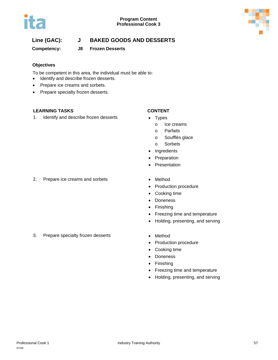



# **Line (GAC): J BAKED GOODS AND DESSERTS**

### **Competency: J8 Frozen Desserts**

#### **Objectives**

To be competent in this area, the individual must be able to:

- Identify and describe frozen desserts.
- Prepare ice creams and sorbets.
- Prepare specialty frozen desserts.

#### **LEARNING TASKS CONTENT**

1. Identify and describe frozen desserts • Types

- - o Ice creams
	- o Parfaits
	- o Soufflés glace
	- o Sorbets
- Ingredients
- Preparation
- **Presentation**
- 2. Prepare ice creams and sorbets Method
	- Production procedure
	- Cooking time
	- Doneness
	- Finishing
	- Freezing time and temperature
	- Holding, presenting, and serving
- 3. Prepare specialty frozen desserts Method
- - Production procedure
	- Cooking time
	- Doneness
	- Finishing
	- Freezing time and temperature
	- Holding, presenting, and serving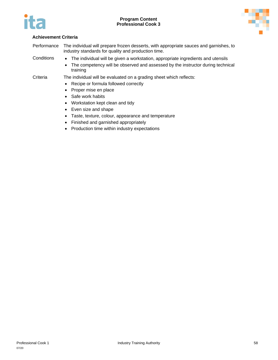



| Performance | The individual will prepare frozen desserts, with appropriate sauces and garnishes, to<br>industry standards for quality and production time. |  |  |
|-------------|-----------------------------------------------------------------------------------------------------------------------------------------------|--|--|
| Conditions  | • The individual will be given a workstation, appropriate ingredients and utensils                                                            |  |  |
|             | • The competency will be observed and assessed by the instructor during technical<br>training                                                 |  |  |
| Criteria    | The individual will be evaluated on a grading sheet which reflects:                                                                           |  |  |
|             | Recipe or formula followed correctly<br>$\bullet$                                                                                             |  |  |
|             | Proper mise en place                                                                                                                          |  |  |

- Safe work habits
- Workstation kept clean and tidy
- Even size and shape
- Taste, texture, colour, appearance and temperature
- Finished and garnished appropriately
- Production time within industry expectations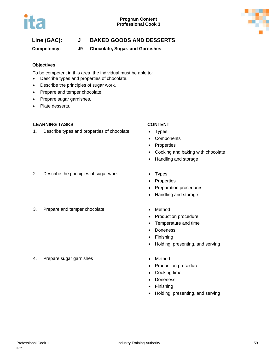



# **Line (GAC): J BAKED GOODS AND DESSERTS**

**Competency: J9 Chocolate, Sugar, and Garnishes**

#### **Objectives**

To be competent in this area, the individual must be able to:

- Describe types and properties of chocolate.
- Describe the principles of sugar work.
- Prepare and temper chocolate.
- Prepare sugar garnishes.
- Plate desserts.

#### **LEARNING TASKS CONTENT**

1. Describe types and properties of chocolate • Types

- 
- Components
- Properties
- Cooking and baking with chocolate
- Handling and storage
- 2. Describe the principles of sugar work Types
- 3. Prepare and temper chocolate **•** Method
- 
- Properties
- Preparation procedures
- Handling and storage
	-
	- Production procedure
	- Temperature and time
	- Doneness
	- Finishing
	- Holding, presenting, and serving
	-
	- Production procedure
	- Cooking time
	- Doneness
	- Finishing
	- Holding, presenting, and serving
- 4. Prepare sugar garnishes **•** Method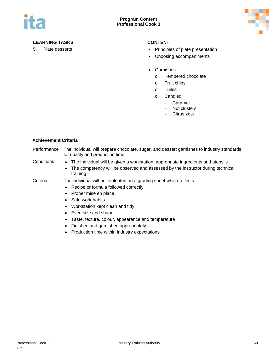

### **LEARNING TASKS CONTENT**

- 5. Plate desserts **•** Principles of plate presentation
	- Choosing accompaniments
	- Garnishes
		- o Tempered chocolate
		- o Fruit chips
		- o Tuiles
		- o Candied
			- − Caramel
			- − Nut clusters
			- − Citrus zest

#### **Achievement Criteria**

| Performance | The individual will prepare chocolate, sugar, and dessert garnishes to industry standards<br>for quality and production time.                                                                                                                                                                                                                                         |  |  |
|-------------|-----------------------------------------------------------------------------------------------------------------------------------------------------------------------------------------------------------------------------------------------------------------------------------------------------------------------------------------------------------------------|--|--|
| Conditions  | The individual will be given a workstation, appropriate ingredients and utensils<br>$\bullet$<br>• The competency will be observed and assessed by the instructor during technical<br>training                                                                                                                                                                        |  |  |
| Criteria    | The individual will be evaluated on a grading sheet which reflects:<br>• Recipe or formula followed correctly<br>Proper mise en place<br>• Safe work habits<br>• Workstation kept clean and tidy<br>Even size and shape<br>Taste, texture, colour, appearance and temperature<br>Finished and garnished appropriately<br>Production time within industry expectations |  |  |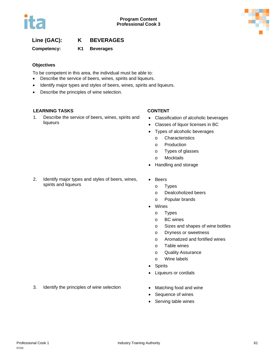

## **Line (GAC): K BEVERAGES**

**Competency: K1 Beverages**

### **Objectives**

To be competent in this area, the individual must be able to:

- Describe the service of beers, wines, spirits and liqueurs.
- Identify major types and styles of beers, wines, spirits and liqueurs.
- Describe the principles of wine selection.

### **LEARNING TASKS CONTENT**

1. Describe the service of beers, wines, spirits and liqueurs

- Classification of alcoholic beverages
- Classes of liquor licenses in BC
- Types of alcoholic beverages
	- o Characteristics
	- o Production
	- o Types of glasses
	- o Mocktails
- Handling and storage
- 2. Identify major types and styles of beers, wines, spirits and liqueurs
- Beers
	- o Types
	- o Dealcoholized beers
	- o Popular brands
- Wines
	- o Types
	- o BC wines
	- o Sizes and shapes of wine bottles
	- o Dryness or sweetness
	- o Aromatized and fortified wines
	- o Table wines
	- o Quality Assurance
	- o Wine labels
- Spirits
- Liqueurs or cordials
- 3. Identify the principles of wine selection Matching food and wine
- - Sequence of wines
	- Serving table wines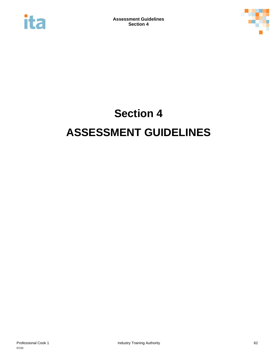



# **Section 4 ASSESSMENT GUIDELINES**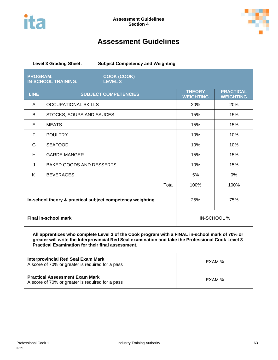



# **Assessment Guidelines**

| <b>Level 3 Grading Sheet:</b><br><b>Subject Competency and Weighting</b> |                                 |                                      |                                      |             |  |  |
|--------------------------------------------------------------------------|---------------------------------|--------------------------------------|--------------------------------------|-------------|--|--|
| <b>PROGRAM:</b>                                                          | <b>IN-SCHOOL TRAINING:</b>      | <b>COOK (COOK)</b><br><b>LEVEL 3</b> |                                      |             |  |  |
| <b>LINE</b>                                                              | <b>SUBJECT COMPETENCIES</b>     | <b>THEORY</b><br><b>WEIGHTING</b>    | <b>PRACTICAL</b><br><b>WEIGHTING</b> |             |  |  |
| A                                                                        | <b>OCCUPATIONAL SKILLS</b>      | 20%                                  | 20%                                  |             |  |  |
| B                                                                        | STOCKS, SOUPS AND SAUCES        | 15%                                  | 15%                                  |             |  |  |
| Е                                                                        | <b>MEATS</b>                    | 15%                                  | 15%                                  |             |  |  |
| F                                                                        | <b>POULTRY</b>                  | 10%                                  | 10%                                  |             |  |  |
| G                                                                        | <b>SEAFOOD</b>                  | 10%                                  | 10%                                  |             |  |  |
| H                                                                        | <b>GARDE-MANGER</b>             | 15%                                  | 15%                                  |             |  |  |
| J                                                                        | <b>BAKED GOODS AND DESSERTS</b> | 10%                                  | 15%                                  |             |  |  |
| K                                                                        | <b>BEVERAGES</b>                |                                      | 5%                                   | 0%          |  |  |
|                                                                          |                                 | Total                                | 100%                                 | 100%        |  |  |
| In-school theory & practical subject competency weighting                |                                 |                                      | 25%                                  | 75%         |  |  |
| <b>Final in-school mark</b>                                              |                                 |                                      |                                      | IN-SCHOOL % |  |  |

**All apprentices who complete Level 3 of the Cook program with a FINAL in-school mark of 70% or greater will write the Interprovincial Red Seal examination and take the Professional Cook Level 3 Practical Examination for their final assessment.**

| <b>Interprovincial Red Seal Exam Mark</b><br>A score of 70% or greater is required for a pass | EXAM % |
|-----------------------------------------------------------------------------------------------|--------|
| <b>Practical Assessment Exam Mark</b><br>A score of 70% or greater is required for a pass     | EXAM % |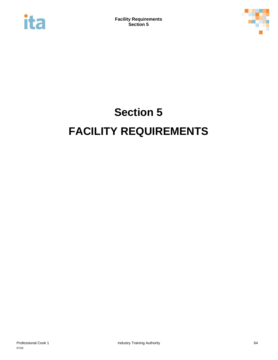



# **Section 5 FACILITY REQUIREMENTS**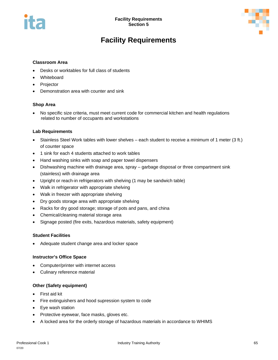



# **Facility Requirements**

#### **Classroom Area**

- Desks or worktables for full class of students
- **Whiteboard**
- **Projector**
- Demonstration area with counter and sink

#### **Shop Area**

• No specific size criteria, must meet current code for commercial kitchen and health regulations related to number of occupants and workstations

#### **Lab Requirements**

- Stainless Steel Work tables with lower shelves each student to receive a minimum of 1 meter (3 ft.) of counter space
- 1 sink for each 4 students attached to work tables
- Hand washing sinks with soap and paper towel dispensers
- Dishwashing machine with drainage area, spray garbage disposal or three compartment sink (stainless) with drainage area
- Upright or reach-in refrigerators with shelving (1 may be sandwich table)
- Walk in refrigerator with appropriate shelving
- Walk in freezer with appropriate shelving
- Dry goods storage area with appropriate shelving
- Racks for dry good storage; storage of pots and pans, and china
- Chemical/cleaning material storage area
- Signage posted (fire exits, hazardous materials, safety equipment)

#### **Student Facilities**

• Adequate student change area and locker space

#### **Instructor's Office Space**

- Computer/printer with internet access
- Culinary reference material

#### **Other (Safety equipment)**

- First aid kit
- Fire extinguishers and hood supression system to code
- Eye wash station
- Protective eyewear, face masks, gloves etc.
- A locked area for the orderly storage of hazardous materials in accordance to WHIMS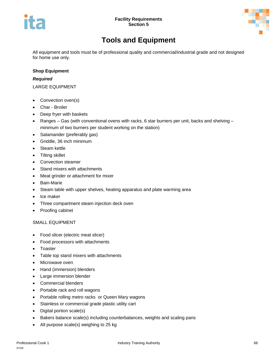

# **Tools and Equipment**

All equipment and tools must be of professional quality and commercial/industrial grade and not designed for home use only.

#### **Shop Equipment**

#### *Required*

LARGE EQUIPMENT

- Convection oven(s)
- Char Broiler
- Deep fryer with baskets
- Ranges Gas (with conventional ovens with racks, 6 star burners per unit, backs and shelving minimum of two burners per student working on the station)
- Salamander (preferably gas)
- Griddle, 36 inch minimum
- Steam kettle
- Tilting skillet
- Convection steamer
- Stand mixers with attachments
- Meat grinder or attachment for mixer
- Bain-Marie
- Steam table with upper shelves, heating apparatus and plate warming area
- Ice maker
- Three compartment steam injection deck oven
- Proofing cabinet

#### SMALL EQUIPMENT

- Food slicer (electric meat slicer)
- Food processors with attachments
- Toaster
- Table top stand mixers with attachments
- Microwave oven
- Hand (immersion) blenders
- Large immersion blender
- Commercial blenders
- Portable rack and roll wagons
- Portable rolling metro racks or Queen Mary wagons
- Stainless or commercial grade plastic utility cart
- Digital portion scale(s)
- Bakers balance scale(s) including counterbalances, weights and scaling pans
- All purpose scale(s) weighing to 25 kg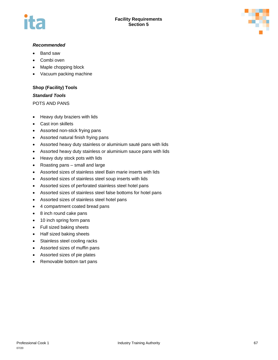

#### *Recommended*

- Band saw
- Combi oven
- Maple chopping block
- Vacuum packing machine

### **Shop (Facility) Tools**

#### *Standard Tools*

POTS AND PANS

- Heavy duty braziers with lids
- Cast iron skillets
- Assorted non-stick frying pans
- Assorted natural finish frying pans
- Assorted heavy duty stainless or aluminium sauté pans with lids
- Assorted heavy duty stainless or aluminium sauce pans with lids
- Heavy duty stock pots with lids
- Roasting pans small and large
- Assorted sizes of stainless steel Bain marie inserts with lids
- Assorted sizes of stainless steel soup inserts with lids
- Assorted sizes of perforated stainless steel hotel pans
- Assorted sizes of stainless steel false bottoms for hotel pans
- Assorted sizes of stainless steel hotel pans
- 4 compartment coated bread pans
- 8 inch round cake pans
- 10 inch spring form pans
- Full sized baking sheets
- Half sized baking sheets
- Stainless steel cooling racks
- Assorted sizes of muffin pans
- Assorted sizes of pie plates
- Removable bottom tart pans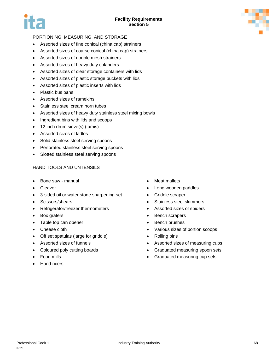

### PORTIONING, MEASURING, AND STORAGE

- Assorted sizes of fine conical (china cap) strainers
- Assorted sizes of coarse conical (china cap) strainers
- Assorted sizes of double mesh strainers
- Assorted sizes of heavy duty colanders
- Assorted sizes of clear storage containers with lids
- Assorted sizes of plastic storage buckets with lids
- Assorted sizes of plastic inserts with lids
- Plastic bus pans
- Assorted sizes of ramekins
- Stainless steel cream horn tubes
- Assorted sizes of heavy duty stainless steel mixing bowls
- Ingredient bins with lids and scoops
- 12 inch drum sieve(s) (tamis)
- Assorted sizes of ladles
- Solid stainless steel serving spoons
- Perforated stainless steel serving spoons
- Slotted stainless steel serving spoons

### HAND TOOLS AND UNTENSILS

- Bone saw manual
- **Cleaver**
- 3-sided oil or water stone sharpening set
- Scissors/shears
- Refrigerator/freezer thermometers
- Box graters
- Table top can opener
- Cheese cloth
- Off set spatulas (large for griddle)
- Assorted sizes of funnels
- Coloured poly cutting boards
- Food mills
- Hand ricers
- Meat mallets
- Long wooden paddles
- Griddle scraper
- Stainless steel skimmers
- Assorted sizes of spiders
- Bench scrapers
- Bench brushes
- Various sizes of portion scoops
- Rolling pins
- Assorted sizes of measuring cups
- Graduated measuring spoon sets
- Graduated measuring cup sets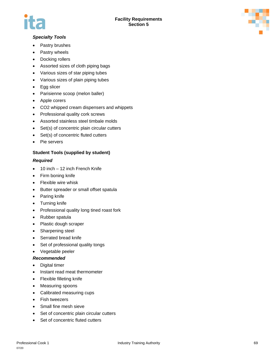

### *Specialty Tools*

- Pastry brushes
- Pastry wheels
- Docking rollers
- Assorted sizes of cloth piping bags
- Various sizes of star piping tubes
- Various sizes of plain piping tubes
- Egg slicer
- Parisienne scoop (melon baller)
- Apple corers
- CO2 whipped cream dispensers and whippets
- Professional quality cork screws
- Assorted stainless steel timbale molds
- Set(s) of concentric plain circular cutters
- Set(s) of concentric fluted cutters
- Pie servers

### **Student Tools (supplied by student)**

#### *Required*

- 10 inch 12 inch French Knife
- Firm boning knife
- Flexible wire whisk
- Butter spreader or small offset spatula
- Paring knife
- Turning knife
- Professional quality long tined roast fork
- Rubber spatula
- Plastic dough scraper
- Sharpening steel
- Serrated bread knife
- Set of professional quality tongs
- Vegetable peeler

#### *Recommended*

- Digital timer
- Instant read meat thermometer
- Flexible filleting knife
- Measuring spoons
- Calibrated measuring cups
- Fish tweezers
- Small fine mesh sieve
- Set of concentric plain circular cutters
- Set of concentric fluted cutters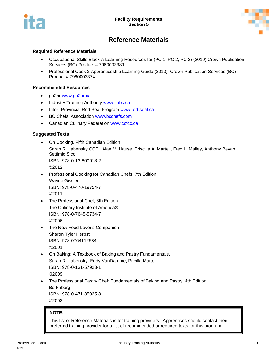



# **Reference Materials**

#### **Required Reference Materials**

- Occupational Skills Block A Learning Resources for (PC 1, PC 2, PC 3) (2010) Crown Publication Services (BC) Product # 7960003389
- Professional Cook 2 Apprenticeship Learning Guide (2010), Crown Publication Services (BC) Product # 7960003374

#### **Recommended Resources**

- go2hr [www.go2hr.ca](http://www.go2hr.ca/)
- Industry Training Authority [www.itabc.ca](http://www.itabc.ca/)
- Inter- Provincial Red Seal Program [www.red-seal.ca](http://www.red-seal.ca/)
- BC Chefs' Association [www.bcchefs.com](http://www.bcchefs.com/)
- Canadian Culinary Federation [www.ccfcc.ca](http://www.ccfcc.ca/)

#### **Suggested Texts**

- On Cooking, Fifth Canadian Edition, Sarah R. Labensky,CCP, Alan M. Hause, Priscilla A. Martell, Fred L. Malley, Anthony Bevan, Settimio Sicoli ISBN: 978-0-13-800918-2 ©2012
- Professional Cooking for Canadian Chefs, 7th Edition Wayne Gisslen ISBN: 978-0-470-19754-7 ©2011
- The Professional Chef, 8th Edition The Culinary Institute of America® ISBN: 978-0-7645-5734-7 ©2006
- The New Food Lover's Companion Sharon Tyler Herbst ISBN: 978-0764112584 ©2001
- On Baking: A Textbook of Baking and Pastry Fundamentals, Sarah R. Labensky, Eddy VanDamme, Pricilla Martel ISBN: 978-0-131-57923-1 ©2009
- The Professional Pastry Chef: Fundamentals of Baking and Pastry, 4th Edition Bo Friberg ISBN: 978-0-471-35925-8 ©2002

#### **NOTE:**

This list of Reference Materials is for training providers. Apprentices should contact their preferred training provider for a list of recommended or required texts for this program.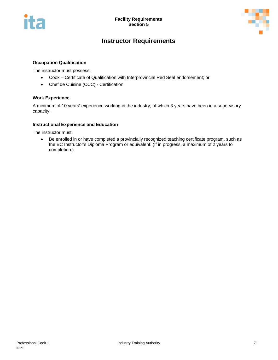



# **Instructor Requirements**

#### **Occupation Qualification**

The instructor must possess:

- Cook Certificate of Qualification with Interprovincial Red Seal endorsement; or
- Chef de Cuisine (CCC) Certification

#### **Work Experience**

A minimum of 10 years' experience working in the industry, of which 3 years have been in a supervisory capacity.

#### **Instructional Experience and Education**

The instructor must:

• Be enrolled in or have completed a provincially recognized teaching certificate program, such as the BC Instructor's Diploma Program or equivalent. (If in progress, a maximum of 2 years to completion.)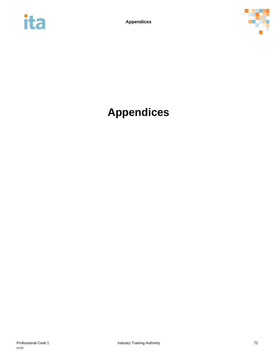



# **Appendices**